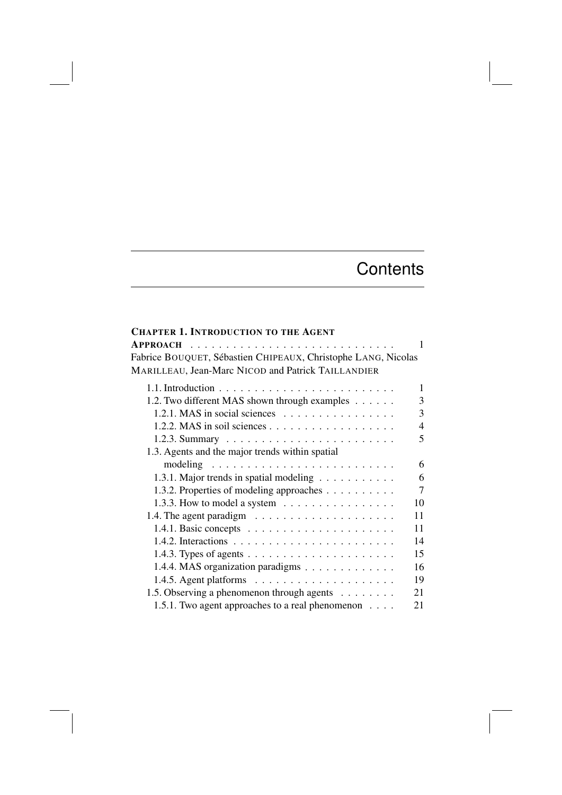## **Contents**

## CHAPTER 1. INTRODUCTION TO THE AGENT

| Fabrice BOUQUET, Sébastien CHIPEAUX, Christophe LANG, Nicolas                  |
|--------------------------------------------------------------------------------|
| MARILLEAU, Jean-Marc NICOD and Patrick TAILLANDIER                             |
| 1                                                                              |
| 1.2. Two different MAS shown through examples<br>3                             |
| 3<br>1.2.1. MAS in social sciences $\dots \dots \dots \dots \dots$             |
| $\overline{4}$                                                                 |
| 5                                                                              |
| 1.3. Agents and the major trends within spatial                                |
| 6                                                                              |
| 6<br>1.3.1. Major trends in spatial modeling                                   |
| $\tau$<br>1.3.2. Properties of modeling approaches                             |
| 10<br>1.3.3. How to model a system $\dots \dots \dots \dots \dots$             |
| 11                                                                             |
| 11                                                                             |
| 14                                                                             |
| 15<br>1.4.3. Types of agents $\dots \dots \dots \dots \dots \dots \dots \dots$ |
| 16<br>1.4.4. MAS organization paradigms                                        |
| 19                                                                             |
| 1.5. Observing a phenomenon through agents<br>21                               |
| 1.5.1. Two agent approaches to a real phenomenon<br>21                         |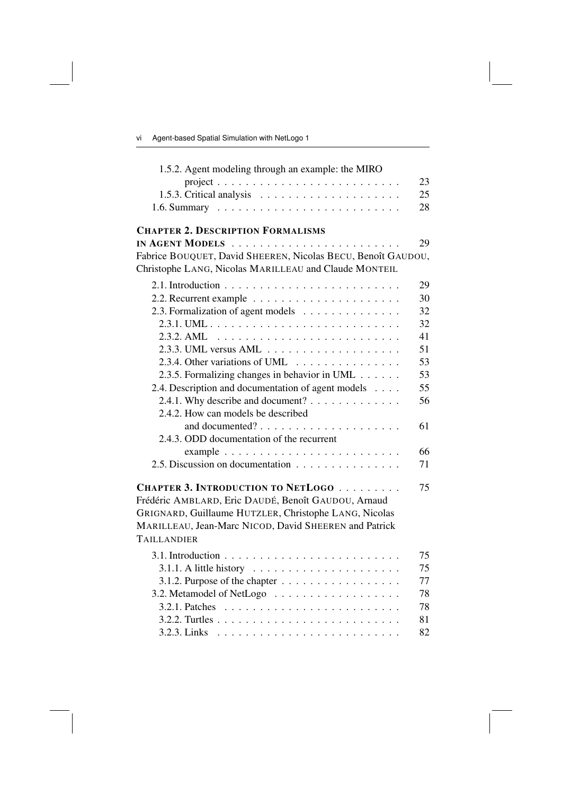| -vi | Agent-based Spatial Simulation with NetLogo 1 |  |  |  |  |  |
|-----|-----------------------------------------------|--|--|--|--|--|
|-----|-----------------------------------------------|--|--|--|--|--|

| 1.5.2. Agent modeling through an example: the MIRO                                                                                                                                                                                            |    |
|-----------------------------------------------------------------------------------------------------------------------------------------------------------------------------------------------------------------------------------------------|----|
|                                                                                                                                                                                                                                               | 23 |
|                                                                                                                                                                                                                                               | 25 |
|                                                                                                                                                                                                                                               | 28 |
| <b>CHAPTER 2. DESCRIPTION FORMALISMS</b>                                                                                                                                                                                                      |    |
|                                                                                                                                                                                                                                               | 29 |
| Fabrice BOUQUET, David SHEEREN, Nicolas BECU, Benoît GAUDOU,                                                                                                                                                                                  |    |
| Christophe LANG, Nicolas MARILLEAU and Claude MONTEIL                                                                                                                                                                                         |    |
|                                                                                                                                                                                                                                               | 29 |
|                                                                                                                                                                                                                                               | 30 |
| 2.3. Formalization of agent models                                                                                                                                                                                                            | 32 |
|                                                                                                                                                                                                                                               | 32 |
|                                                                                                                                                                                                                                               | 41 |
|                                                                                                                                                                                                                                               | 51 |
| 2.3.4. Other variations of UML $\ldots$ ,                                                                                                                                                                                                     | 53 |
| 2.3.5. Formalizing changes in behavior in UML                                                                                                                                                                                                 | 53 |
| 2.4. Description and documentation of agent models                                                                                                                                                                                            | 55 |
| 2.4.1. Why describe and document?                                                                                                                                                                                                             | 56 |
| 2.4.2. How can models be described                                                                                                                                                                                                            |    |
|                                                                                                                                                                                                                                               | 61 |
| 2.4.3. ODD documentation of the recurrent                                                                                                                                                                                                     |    |
|                                                                                                                                                                                                                                               | 66 |
| 2.5. Discussion on documentation                                                                                                                                                                                                              | 71 |
| <b>CHAPTER 3. INTRODUCTION TO NETLOGO</b>                                                                                                                                                                                                     | 75 |
| Frédéric AMBLARD, Eric DAUDÉ, Benoît GAUDOU, Arnaud                                                                                                                                                                                           |    |
| GRIGNARD, Guillaume HUTZLER, Christophe LANG, Nicolas                                                                                                                                                                                         |    |
| MARILLEAU, Jean-Marc NICOD, David SHEEREN and Patrick                                                                                                                                                                                         |    |
| <b>TAILLANDIER</b>                                                                                                                                                                                                                            |    |
| 3.1. Introduction $\ldots \ldots \ldots \ldots \ldots \ldots \ldots \ldots \ldots$                                                                                                                                                            | 75 |
|                                                                                                                                                                                                                                               | 75 |
| 3.1.2. Purpose of the chapter $\dots \dots \dots \dots \dots \dots$                                                                                                                                                                           | 77 |
|                                                                                                                                                                                                                                               | 78 |
|                                                                                                                                                                                                                                               | 78 |
|                                                                                                                                                                                                                                               | 81 |
| 3.2.3. Links<br>. The contract of the contract of the contract of the contract of the contract of the contract of the contract of the contract of the contract of the contract of the contract of the contract of the contract of the contrac | 82 |
|                                                                                                                                                                                                                                               |    |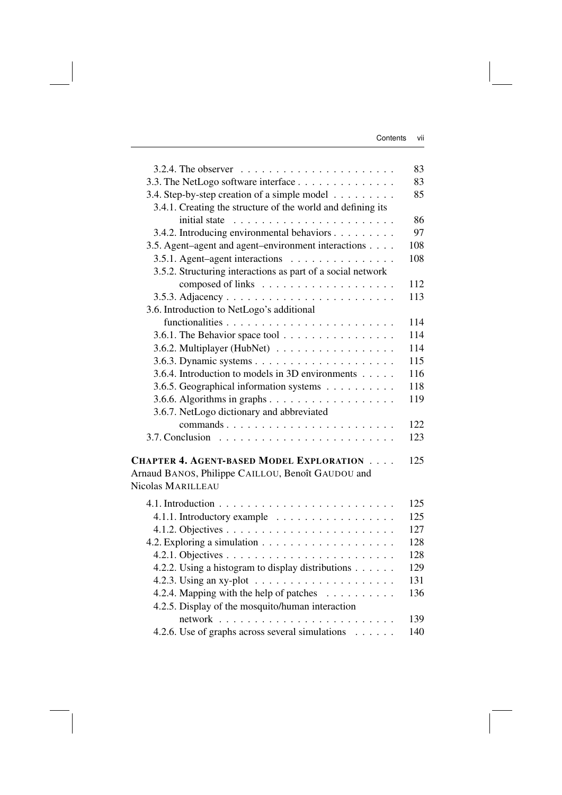| 3.2.4. The observer $\dots \dots \dots \dots \dots \dots \dots \dots$       | 83  |
|-----------------------------------------------------------------------------|-----|
| 3.3. The NetLogo software interface                                         | 83  |
| 3.4. Step-by-step creation of a simple model                                | 85  |
| 3.4.1. Creating the structure of the world and defining its                 |     |
|                                                                             | 86  |
| 3.4.2. Introducing environmental behaviors                                  | 97  |
| 3.5. Agent-agent and agent-environment interactions                         | 108 |
| 3.5.1. Agent-agent interactions                                             | 108 |
| 3.5.2. Structuring interactions as part of a social network                 |     |
|                                                                             | 112 |
|                                                                             |     |
|                                                                             | 113 |
| 3.6. Introduction to NetLogo's additional                                   |     |
|                                                                             | 114 |
| 3.6.1. The Behavior space tool $\ldots \ldots \ldots \ldots \ldots$         | 114 |
| 3.6.2. Multiplayer (HubNet) $\ldots \ldots \ldots \ldots \ldots$            | 114 |
|                                                                             | 115 |
| 3.6.4. Introduction to models in 3D environments                            | 116 |
| 3.6.5. Geographical information systems                                     | 118 |
|                                                                             | 119 |
| 3.6.7. NetLogo dictionary and abbreviated                                   |     |
| commands                                                                    | 122 |
|                                                                             | 123 |
|                                                                             |     |
| <b>CHAPTER 4. AGENT-BASED MODEL EXPLORATION</b>                             | 125 |
| Arnaud BANOS, Philippe CAILLOU, Benoît GAUDOU and                           |     |
| Nicolas MARILLEAU                                                           |     |
| 4.1. Introduction $\ldots \ldots \ldots \ldots \ldots \ldots \ldots \ldots$ | 125 |
| 4.1.1. Introductory example                                                 | 125 |
|                                                                             | 127 |
|                                                                             | 128 |
|                                                                             | 128 |
| 4.2.2. Using a histogram to display distributions                           | 129 |
| 4.2.3. Using an xy-plot $\ldots \ldots \ldots \ldots \ldots$                | 131 |
| 4.2.4. Mapping with the help of patches                                     | 136 |
| 4.2.5. Display of the mosquito/human interaction                            |     |
| network                                                                     | 139 |
| 4.2.6. Use of graphs across several simulations                             | 140 |
|                                                                             |     |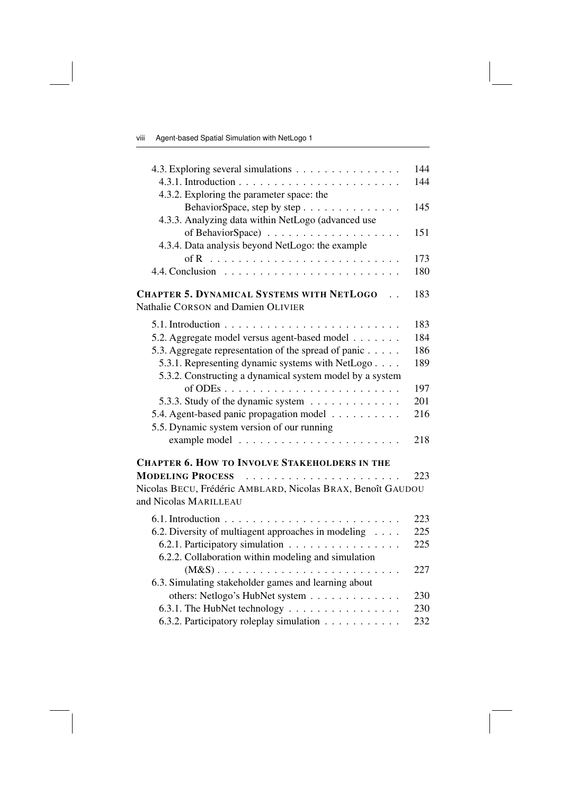| 4.3. Exploring several simulations                                                   | 144 |
|--------------------------------------------------------------------------------------|-----|
|                                                                                      | 144 |
| 4.3.2. Exploring the parameter space: the                                            |     |
| BehaviorSpace, step by step                                                          | 145 |
| 4.3.3. Analyzing data within NetLogo (advanced use                                   |     |
|                                                                                      | 151 |
| 4.3.4. Data analysis beyond NetLogo: the example                                     |     |
|                                                                                      | 173 |
|                                                                                      | 180 |
| <b>CHAPTER 5. DYNAMICAL SYSTEMS WITH NETLOGO</b>                                     | 183 |
| Nathalie CORSON and Damien OLIVIER                                                   |     |
| 5.1. Introduction $\ldots \ldots \ldots \ldots \ldots \ldots \ldots \ldots$          | 183 |
| 5.2. Aggregate model versus agent-based model                                        | 184 |
| 5.3. Aggregate representation of the spread of panic                                 | 186 |
| 5.3.1. Representing dynamic systems with NetLogo                                     | 189 |
| 5.3.2. Constructing a dynamical system model by a system                             |     |
|                                                                                      | 197 |
| 5.3.3. Study of the dynamic system                                                   | 201 |
| 5.4. Agent-based panic propagation model                                             | 216 |
| 5.5. Dynamic system version of our running                                           |     |
|                                                                                      | 218 |
| <b>CHAPTER 6. HOW TO INVOLVE STAKEHOLDERS IN THE</b>                                 |     |
| <b>MODELING PROCESS</b>                                                              | 223 |
| Nicolas BECU, Frédéric AMBLARD, Nicolas BRAX, Benoît GAUDOU<br>and Nicolas MARILLEAU |     |
|                                                                                      |     |
| 6.1. Introduction $\ldots \ldots \ldots \ldots \ldots \ldots \ldots \ldots \ldots$   | 223 |
| 6.2. Diversity of multiagent approaches in modeling                                  | 225 |
| 6.2.1. Participatory simulation                                                      | 225 |
| 6.2.2. Collaboration within modeling and simulation                                  |     |
| $(M&S)$                                                                              | 227 |
| 6.3. Simulating stakeholder games and learning about                                 |     |
| others: Netlogo's HubNet system                                                      | 230 |
| 6.3.1. The HubNet technology                                                         | 230 |
| 6.3.2. Participatory roleplay simulation                                             | 232 |